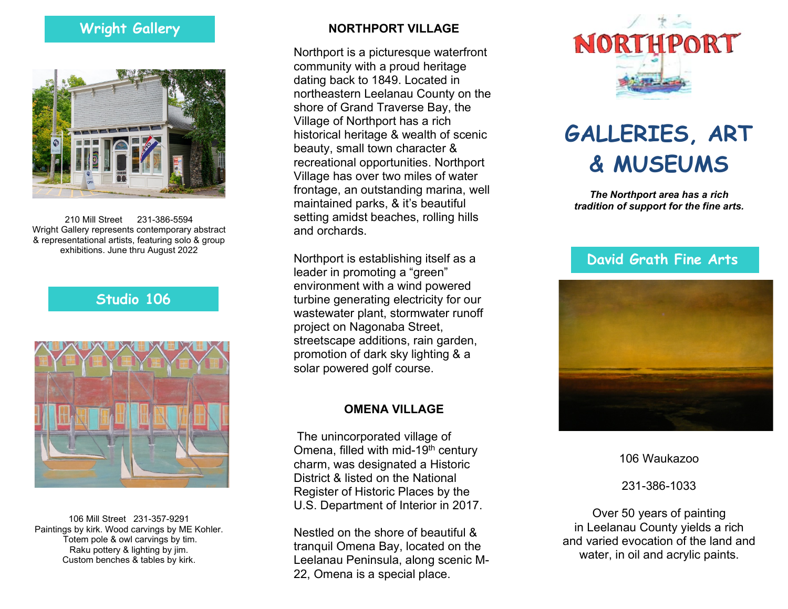# Wright Gallery



210 Mill Street 231-386-5594 Wright Gallery represents contemporary abstract & representational artists, featuring solo & group exhibitions. June thru August 2022

#### Studio 106



106 Mill Street 231-357-9291 Paintings by kirk. Wood carvings by ME Kohler. Totem pole & owl carvings by tim. Raku pottery & lighting by jim. Custom benches & tables by kirk.

#### NORTHPORT VILLAGE

Northport is a picturesque waterfront community with a proud heritage dating back to 1849. Located in northeastern Leelanau County on the shore of Grand Traverse Bay, the Village of Northport has a rich historical heritage & wealth of scenic beauty, small town character & recreational opportunities. Northport Village has over two miles of water frontage, an outstanding marina, well maintained parks, & it's beautiful setting amidst beaches, rolling hills and orchards.

Northport is establishing itself as a leader in promoting a "green" environment with a wind powered turbine generating electricity for our wastewater plant, stormwater runoff project on Nagonaba Street, streetscape additions, rain garden, promotion of dark sky lighting & a solar powered golf course.

#### OMENA VILLAGE

 The unincorporated village of Omena, filled with mid-19<sup>th</sup> century charm, was designated a Historic District & listed on the National Register of Historic Places by the U.S. Department of Interior in 2017.

Nestled on the shore of beautiful & tranquil Omena Bay, located on the Leelanau Peninsula, along scenic M-22, Omena is a special place.



# GALLERIES, ART & MUSEUMS

The Northport area has a rich tradition of support for the fine arts.

### David Grath Fine Arts



106 Waukazoo

231-386-1033

Over 50 years of painting in Leelanau County yields a rich and varied evocation of the land and water, in oil and acrylic paints.